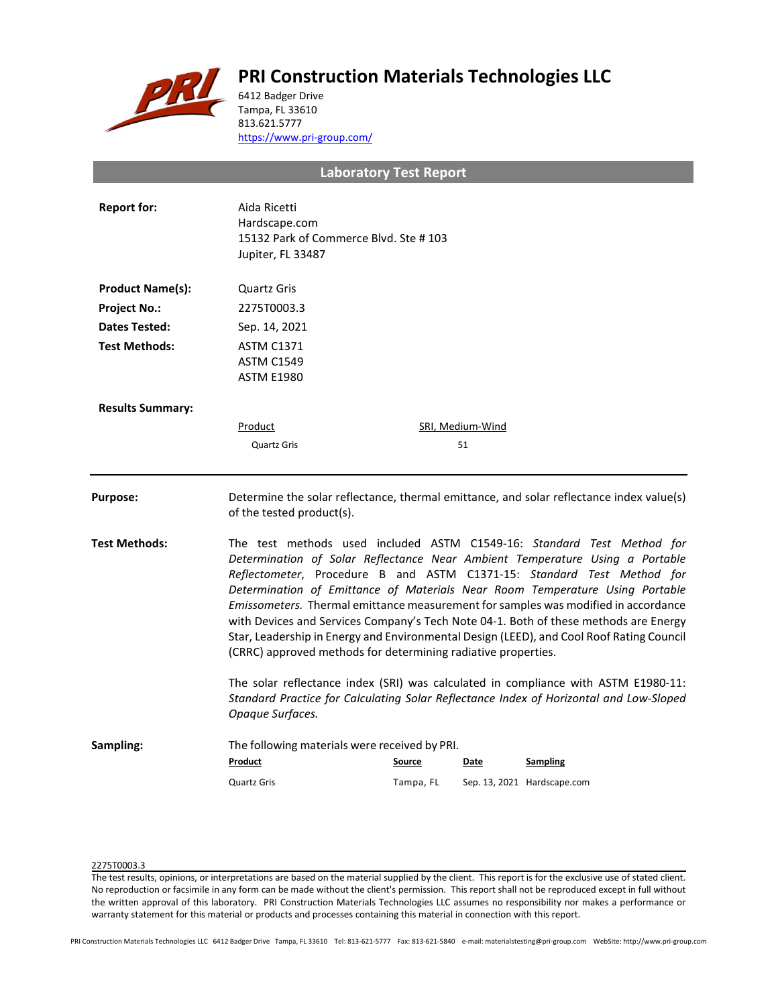# **PRI Construction Materials Technologies LLC**



6412 Badger Drive Tampa, FL 33610 813.621.5777 <https://www.pri-group.com/>

**Laboratory Test Report**

| <b>Report for:</b>      | Aida Ricetti<br>Hardscape.com<br>15132 Park of Commerce Blvd. Ste #103<br>Jupiter, FL 33487                                                                                                                                                                                                                                                                                                                                                                                                                                                                                                                                                                 |           |                  |                             |
|-------------------------|-------------------------------------------------------------------------------------------------------------------------------------------------------------------------------------------------------------------------------------------------------------------------------------------------------------------------------------------------------------------------------------------------------------------------------------------------------------------------------------------------------------------------------------------------------------------------------------------------------------------------------------------------------------|-----------|------------------|-----------------------------|
| <b>Product Name(s):</b> | Quartz Gris                                                                                                                                                                                                                                                                                                                                                                                                                                                                                                                                                                                                                                                 |           |                  |                             |
| <b>Project No.:</b>     | 2275T0003.3                                                                                                                                                                                                                                                                                                                                                                                                                                                                                                                                                                                                                                                 |           |                  |                             |
| Dates Tested:           | Sep. 14, 2021                                                                                                                                                                                                                                                                                                                                                                                                                                                                                                                                                                                                                                               |           |                  |                             |
| <b>Test Methods:</b>    | <b>ASTM C1371</b><br><b>ASTM C1549</b><br><b>ASTM E1980</b>                                                                                                                                                                                                                                                                                                                                                                                                                                                                                                                                                                                                 |           |                  |                             |
| <b>Results Summary:</b> |                                                                                                                                                                                                                                                                                                                                                                                                                                                                                                                                                                                                                                                             |           |                  |                             |
|                         | Product                                                                                                                                                                                                                                                                                                                                                                                                                                                                                                                                                                                                                                                     |           | SRI, Medium-Wind |                             |
|                         | <b>Quartz Gris</b>                                                                                                                                                                                                                                                                                                                                                                                                                                                                                                                                                                                                                                          |           | 51               |                             |
| <b>Purpose:</b>         | Determine the solar reflectance, thermal emittance, and solar reflectance index value(s)<br>of the tested product(s).                                                                                                                                                                                                                                                                                                                                                                                                                                                                                                                                       |           |                  |                             |
| <b>Test Methods:</b>    | The test methods used included ASTM C1549-16: Standard Test Method for<br>Determination of Solar Reflectance Near Ambient Temperature Using a Portable<br>Reflectometer, Procedure B and ASTM C1371-15: Standard Test Method for<br>Determination of Emittance of Materials Near Room Temperature Using Portable<br>Emissometers. Thermal emittance measurement for samples was modified in accordance<br>with Devices and Services Company's Tech Note 04-1. Both of these methods are Energy<br>Star, Leadership in Energy and Environmental Design (LEED), and Cool Roof Rating Council<br>(CRRC) approved methods for determining radiative properties. |           |                  |                             |
|                         | The solar reflectance index (SRI) was calculated in compliance with ASTM E1980-11:<br>Standard Practice for Calculating Solar Reflectance Index of Horizontal and Low-Sloped<br>Opaque Surfaces.                                                                                                                                                                                                                                                                                                                                                                                                                                                            |           |                  |                             |
| Sampling:               | The following materials were received by PRI.<br>Product                                                                                                                                                                                                                                                                                                                                                                                                                                                                                                                                                                                                    | Source    | Date             | <b>Sampling</b>             |
|                         | <b>Quartz Gris</b>                                                                                                                                                                                                                                                                                                                                                                                                                                                                                                                                                                                                                                          | Tampa, FL |                  | Sep. 13, 2021 Hardscape.com |

## 2275T0003.3

The test results, opinions, or interpretations are based on the material supplied by the client. This report is for the exclusive use of stated client. No reproduction or facsimile in any form can be made without the client's permission. This report shall not be reproduced except in full without the written approval of this laboratory. PRI Construction Materials Technologies LLC assumes no responsibility nor makes a performance or warranty statement for this material or products and processes containing this material in connection with this report.

PRI Construction Materials Technologies LLC 6412 Badger Drive Tampa, FL 33610 Tel: 813-621-5777 Fax: 813-621-5840 e-mail: materialstesting@pri-group.com WebSite: http://www.pri-group.com